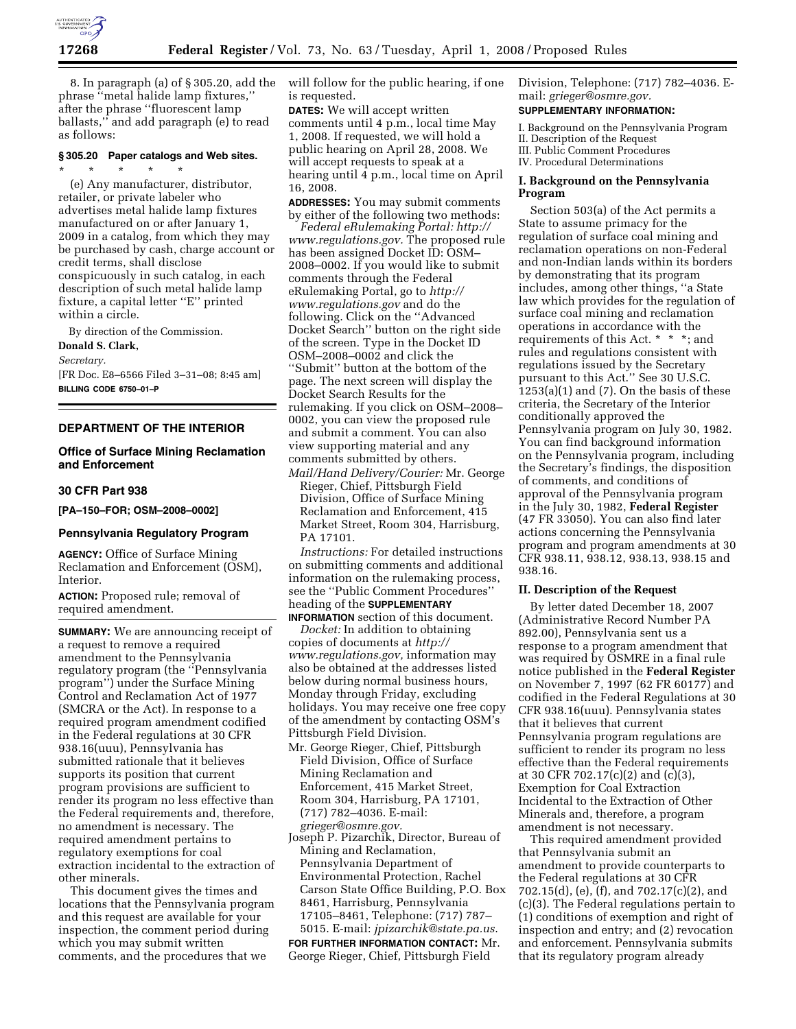

8. In paragraph (a) of § 305.20, add the phrase ''metal halide lamp fixtures,'' after the phrase ''fluorescent lamp ballasts,'' and add paragraph (e) to read as follows:

#### **§ 305.20 Paper catalogs and Web sites.**  \* \* \* \* \*

(e) Any manufacturer, distributor, retailer, or private labeler who advertises metal halide lamp fixtures manufactured on or after January 1, 2009 in a catalog, from which they may be purchased by cash, charge account or credit terms, shall disclose conspicuously in such catalog, in each description of such metal halide lamp fixture, a capital letter ''E'' printed within a circle.

By direction of the Commission.

#### **Donald S. Clark,**

*Secretary.* 

[FR Doc. E8–6566 Filed 3–31–08; 8:45 am] **BILLING CODE 6750–01–P** 

## **DEPARTMENT OF THE INTERIOR**

## **Office of Surface Mining Reclamation and Enforcement**

## **30 CFR Part 938**

**[PA–150–FOR; OSM–2008–0002]** 

### **Pennsylvania Regulatory Program**

**AGENCY:** Office of Surface Mining Reclamation and Enforcement (OSM), Interior.

**ACTION:** Proposed rule; removal of required amendment.

**SUMMARY:** We are announcing receipt of a request to remove a required amendment to the Pennsylvania regulatory program (the ''Pennsylvania program'') under the Surface Mining Control and Reclamation Act of 1977 (SMCRA or the Act). In response to a required program amendment codified in the Federal regulations at 30 CFR 938.16(uuu), Pennsylvania has submitted rationale that it believes supports its position that current program provisions are sufficient to render its program no less effective than the Federal requirements and, therefore, no amendment is necessary. The required amendment pertains to regulatory exemptions for coal extraction incidental to the extraction of other minerals.

This document gives the times and locations that the Pennsylvania program and this request are available for your inspection, the comment period during which you may submit written comments, and the procedures that we

will follow for the public hearing, if one is requested.

**DATES:** We will accept written comments until 4 p.m., local time May 1, 2008. If requested, we will hold a public hearing on April 28, 2008. We will accept requests to speak at a hearing until 4 p.m., local time on April 16, 2008.

**ADDRESSES:** You may submit comments by either of the following two methods:

*Federal eRulemaking Portal: http:// www.regulations.gov.* The proposed rule has been assigned Docket ID: OSM– 2008–0002. If you would like to submit comments through the Federal eRulemaking Portal, go to *http:// www.regulations.gov* and do the following. Click on the ''Advanced Docket Search'' button on the right side of the screen. Type in the Docket ID OSM–2008–0002 and click the ''Submit'' button at the bottom of the page. The next screen will display the Docket Search Results for the rulemaking. If you click on OSM–2008– 0002, you can view the proposed rule and submit a comment. You can also view supporting material and any comments submitted by others.

*Mail/Hand Delivery/Courier:* Mr. George Rieger, Chief, Pittsburgh Field Division, Office of Surface Mining Reclamation and Enforcement, 415 Market Street, Room 304, Harrisburg, PA 17101.

*Instructions:* For detailed instructions on submitting comments and additional information on the rulemaking process, see the ''Public Comment Procedures'' heading of the **SUPPLEMENTARY**

**INFORMATION** section of this document. *Docket:* In addition to obtaining copies of documents at *http:// www.regulations.gov,* information may also be obtained at the addresses listed below during normal business hours, Monday through Friday, excluding holidays. You may receive one free copy of the amendment by contacting OSM's Pittsburgh Field Division.

- Mr. George Rieger, Chief, Pittsburgh Field Division, Office of Surface Mining Reclamation and Enforcement, 415 Market Street, Room 304, Harrisburg, PA 17101, (717) 782–4036. E-mail: *grieger@osmre.gov.*
- Joseph P. Pizarchik, Director, Bureau of Mining and Reclamation, Pennsylvania Department of Environmental Protection, Rachel Carson State Office Building, P.O. Box 8461, Harrisburg, Pennsylvania 17105–8461, Telephone: (717) 787– 5015. E-mail: *jpizarchik@state.pa.us*.

**FOR FURTHER INFORMATION CONTACT:** Mr. George Rieger, Chief, Pittsburgh Field

Division, Telephone: (717) 782–4036. Email: *grieger@osmre.gov.*  **SUPPLEMENTARY INFORMATION:** 

# I. Background on the Pennsylvania Program II. Description of the Request

III. Public Comment Procedures

IV. Procedural Determinations

## **I. Background on the Pennsylvania Program**

Section 503(a) of the Act permits a State to assume primacy for the regulation of surface coal mining and reclamation operations on non-Federal and non-Indian lands within its borders by demonstrating that its program includes, among other things, ''a State law which provides for the regulation of surface coal mining and reclamation operations in accordance with the requirements of this Act. \* \* \*; and rules and regulations consistent with regulations issued by the Secretary pursuant to this Act.'' See 30 U.S.C.  $1253(a)(1)$  and  $(7)$ . On the basis of these criteria, the Secretary of the Interior conditionally approved the Pennsylvania program on July 30, 1982. You can find background information on the Pennsylvania program, including the Secretary's findings, the disposition of comments, and conditions of approval of the Pennsylvania program in the July 30, 1982, **Federal Register**  (47 FR 33050). You can also find later actions concerning the Pennsylvania program and program amendments at 30 CFR 938.11, 938.12, 938.13, 938.15 and 938.16.

### **II. Description of the Request**

By letter dated December 18, 2007 (Administrative Record Number PA 892.00), Pennsylvania sent us a response to a program amendment that was required by OSMRE in a final rule notice published in the **Federal Register**  on November 7, 1997 (62 FR 60177) and codified in the Federal Regulations at 30 CFR 938.16(uuu). Pennsylvania states that it believes that current Pennsylvania program regulations are sufficient to render its program no less effective than the Federal requirements at 30 CFR 702.17(c)(2) and (c)(3), Exemption for Coal Extraction Incidental to the Extraction of Other Minerals and, therefore, a program amendment is not necessary.

This required amendment provided that Pennsylvania submit an amendment to provide counterparts to the Federal regulations at 30 CFR 702.15(d), (e), (f), and 702.17(c)(2), and (c)(3). The Federal regulations pertain to (1) conditions of exemption and right of inspection and entry; and (2) revocation and enforcement. Pennsylvania submits that its regulatory program already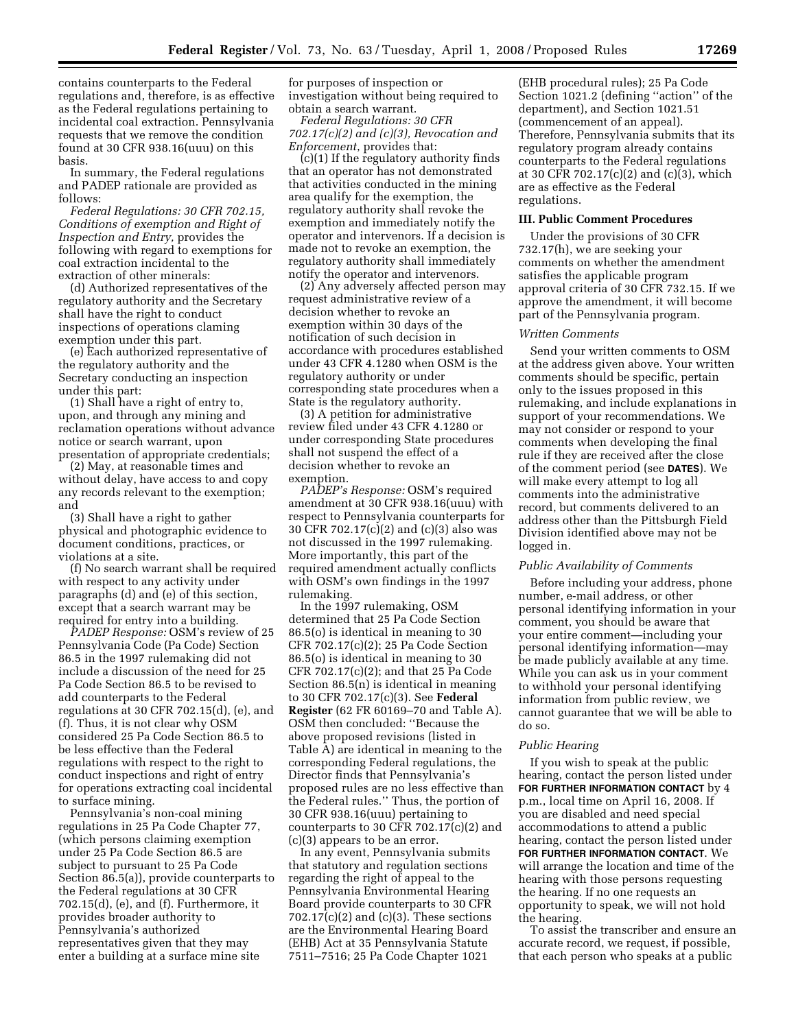contains counterparts to the Federal regulations and, therefore, is as effective as the Federal regulations pertaining to incidental coal extraction. Pennsylvania requests that we remove the condition found at 30 CFR 938.16(uuu) on this basis.

In summary, the Federal regulations and PADEP rationale are provided as follows:

*Federal Regulations: 30 CFR 702.15, Conditions of exemption and Right of Inspection and Entry,* provides the following with regard to exemptions for coal extraction incidental to the extraction of other minerals:

(d) Authorized representatives of the regulatory authority and the Secretary shall have the right to conduct inspections of operations claming exemption under this part.

(e) Each authorized representative of the regulatory authority and the Secretary conducting an inspection under this part:

(1) Shall have a right of entry to, upon, and through any mining and reclamation operations without advance notice or search warrant, upon presentation of appropriate credentials;

(2) May, at reasonable times and without delay, have access to and copy any records relevant to the exemption; and

(3) Shall have a right to gather physical and photographic evidence to document conditions, practices, or violations at a site.

(f) No search warrant shall be required with respect to any activity under paragraphs (d) and (e) of this section, except that a search warrant may be required for entry into a building.

*PADEP Response:* OSM's review of 25 Pennsylvania Code (Pa Code) Section 86.5 in the 1997 rulemaking did not include a discussion of the need for 25 Pa Code Section 86.5 to be revised to add counterparts to the Federal regulations at 30 CFR 702.15(d), (e), and (f). Thus, it is not clear why OSM considered 25 Pa Code Section 86.5 to be less effective than the Federal regulations with respect to the right to conduct inspections and right of entry for operations extracting coal incidental to surface mining.

Pennsylvania's non-coal mining regulations in 25 Pa Code Chapter 77, (which persons claiming exemption under 25 Pa Code Section 86.5 are subject to pursuant to 25 Pa Code Section 86.5(a)), provide counterparts to the Federal regulations at 30 CFR 702.15(d), (e), and (f). Furthermore, it provides broader authority to Pennsylvania's authorized representatives given that they may enter a building at a surface mine site

for purposes of inspection or investigation without being required to obtain a search warrant.

*Federal Regulations: 30 CFR 702.17(c)(2) and (c)(3), Revocation and Enforcement*, provides that:

(c)(1) If the regulatory authority finds that an operator has not demonstrated that activities conducted in the mining area qualify for the exemption, the regulatory authority shall revoke the exemption and immediately notify the operator and intervenors. If a decision is made not to revoke an exemption, the regulatory authority shall immediately notify the operator and intervenors.

(2) Any adversely affected person may request administrative review of a decision whether to revoke an exemption within 30 days of the notification of such decision in accordance with procedures established under 43 CFR 4.1280 when OSM is the regulatory authority or under corresponding state procedures when a State is the regulatory authority.

(3) A petition for administrative review filed under 43 CFR 4.1280 or under corresponding State procedures shall not suspend the effect of a decision whether to revoke an exemption.

*PADEP's Response:* OSM's required amendment at 30 CFR 938.16(uuu) with respect to Pennsylvania counterparts for 30 CFR 702.17(c)(2) and (c)(3) also was not discussed in the 1997 rulemaking. More importantly, this part of the required amendment actually conflicts with OSM's own findings in the 1997 rulemaking.

In the 1997 rulemaking, OSM determined that 25 Pa Code Section 86.5(o) is identical in meaning to 30 CFR 702.17(c)(2); 25 Pa Code Section 86.5(o) is identical in meaning to 30 CFR 702.17(c)(2); and that 25 Pa Code Section 86.5(n) is identical in meaning to 30 CFR 702.17(c)(3). See **Federal Register** (62 FR 60169–70 and Table A). OSM then concluded: ''Because the above proposed revisions (listed in Table A) are identical in meaning to the corresponding Federal regulations, the Director finds that Pennsylvania's proposed rules are no less effective than the Federal rules.'' Thus, the portion of 30 CFR 938.16(uuu) pertaining to counterparts to 30 CFR 702.17(c)(2) and (c)(3) appears to be an error.

In any event, Pennsylvania submits that statutory and regulation sections regarding the right of appeal to the Pennsylvania Environmental Hearing Board provide counterparts to 30 CFR 702.17(c)(2) and (c)(3). These sections are the Environmental Hearing Board (EHB) Act at 35 Pennsylvania Statute 7511–7516; 25 Pa Code Chapter 1021

(EHB procedural rules); 25 Pa Code Section 1021.2 (defining ''action'' of the department), and Section 1021.51 (commencement of an appeal). Therefore, Pennsylvania submits that its regulatory program already contains counterparts to the Federal regulations at 30 CFR 702.17(c)(2) and (c)(3), which are as effective as the Federal regulations.

### **III. Public Comment Procedures**

Under the provisions of 30 CFR 732.17(h), we are seeking your comments on whether the amendment satisfies the applicable program approval criteria of 30 CFR 732.15. If we approve the amendment, it will become part of the Pennsylvania program.

## *Written Comments*

Send your written comments to OSM at the address given above. Your written comments should be specific, pertain only to the issues proposed in this rulemaking, and include explanations in support of your recommendations. We may not consider or respond to your comments when developing the final rule if they are received after the close of the comment period (see **DATES**). We will make every attempt to log all comments into the administrative record, but comments delivered to an address other than the Pittsburgh Field Division identified above may not be logged in.

#### *Public Availability of Comments*

Before including your address, phone number, e-mail address, or other personal identifying information in your comment, you should be aware that your entire comment—including your personal identifying information—may be made publicly available at any time. While you can ask us in your comment to withhold your personal identifying information from public review, we cannot guarantee that we will be able to do so.

#### *Public Hearing*

If you wish to speak at the public hearing, contact the person listed under **FOR FURTHER INFORMATION CONTACT** by 4 p.m., local time on April 16, 2008. If you are disabled and need special accommodations to attend a public hearing, contact the person listed under **FOR FURTHER INFORMATION CONTACT**. We will arrange the location and time of the hearing with those persons requesting the hearing. If no one requests an opportunity to speak, we will not hold the hearing.

To assist the transcriber and ensure an accurate record, we request, if possible, that each person who speaks at a public